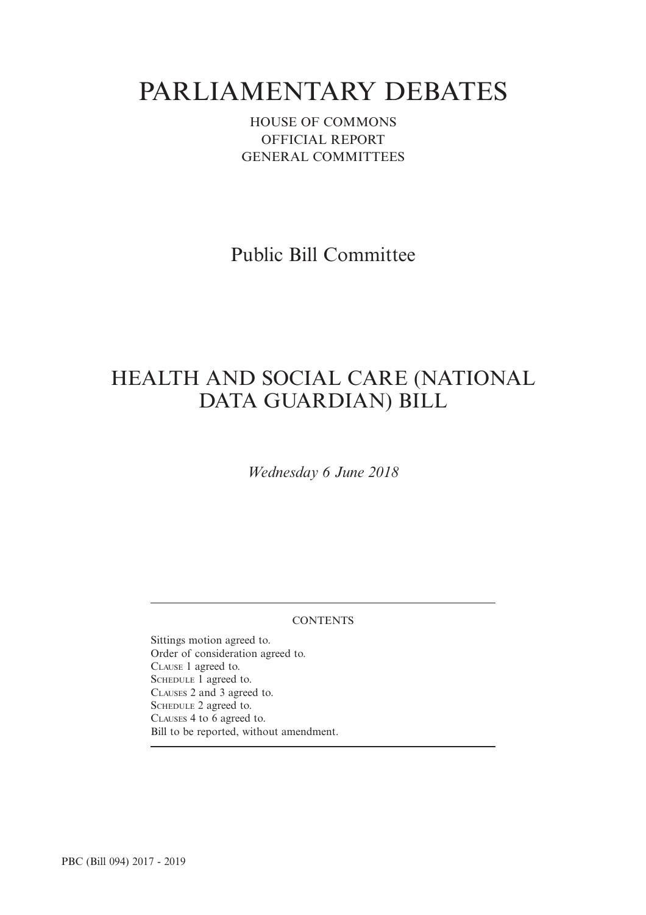# PARLIAMENTARY DEBATES

HOUSE OF COMMONS OFFICIAL REPORT GENERAL COMMITTEES

Public Bill Committee

## HEALTH AND SOCIAL CARE (NATIONAL DATA GUARDIAN) BILL

*Wednesday 6 June 2018*

**CONTENTS** 

Sittings motion agreed to. Order of consideration agreed to. CLAUSE 1 agreed to. SCHEDULE 1 agreed to. CLAUSES 2 and 3 agreed to. SCHEDULE 2 agreed to. CLAUSES 4 to 6 agreed to. Bill to be reported, without amendment.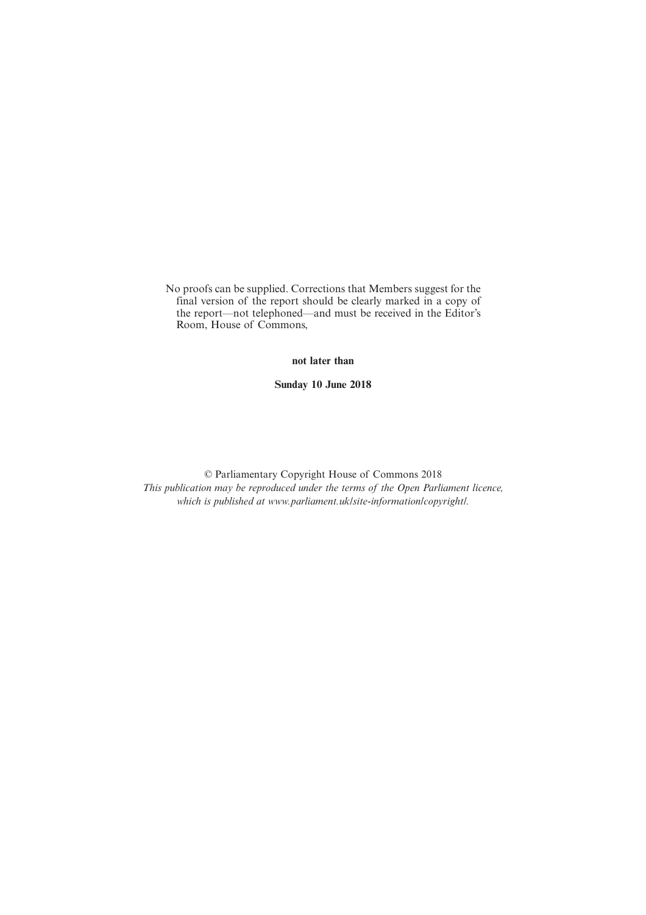No proofs can be supplied. Corrections that Members suggest for the final version of the report should be clearly marked in a copy of the report—not telephoned—and must be received in the Editor's Room, House of Commons,

**not later than**

**Sunday 10 June 2018**

© Parliamentary Copyright House of Commons 2018 *This publication may be reproduced under the terms of the Open Parliament licence, which is published at www.parliament.uk/site-information/copyright/.*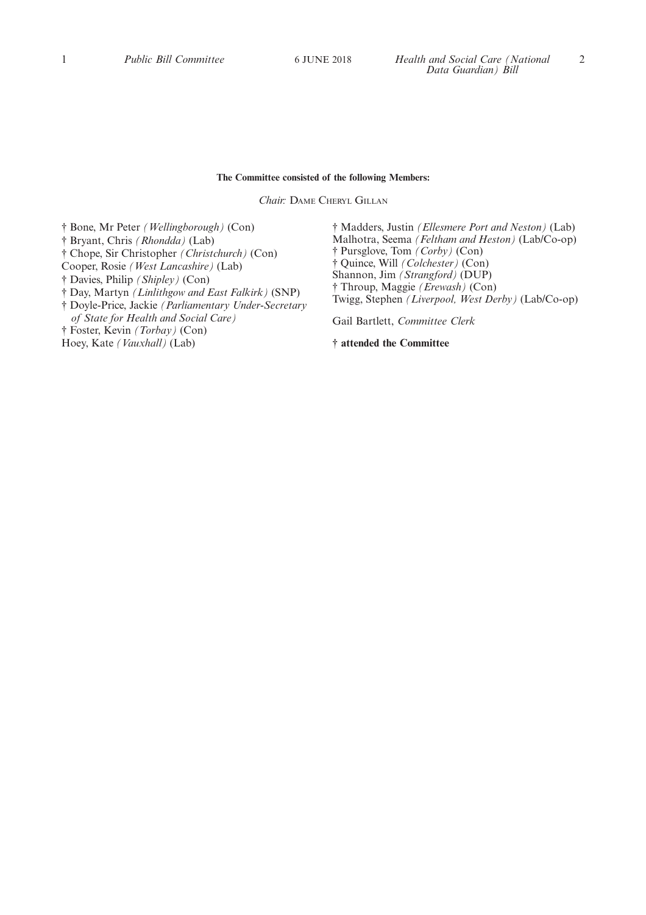#### **The Committee consisted of the following Members:**

*Chair:* DAME CHERYL GILLAN

† Bone, Mr Peter *(Wellingborough)* (Con) † Bryant, Chris *(Rhondda)* (Lab) † Chope, Sir Christopher *(Christchurch)* (Con) Cooper, Rosie *(West Lancashire)* (Lab) † Davies, Philip *(Shipley)* (Con) † Day, Martyn *(Linlithgow and East Falkirk)* (SNP) † Doyle-Price, Jackie *(Parliamentary Under-Secretary of State for Health and Social Care)* † Foster, Kevin *(Torbay)* (Con) Hoey, Kate *(Vauxhall)* (Lab)

† Madders, Justin *(Ellesmere Port and Neston)* (Lab) Malhotra, Seema *(Feltham and Heston)* (Lab/Co-op) † Pursglove, Tom *(Corby)* (Con) † Quince, Will *(Colchester)* (Con) Shannon, Jim *(Strangford)* (DUP) † Throup, Maggie *(Erewash)* (Con) Twigg, Stephen *(Liverpool, West Derby)* (Lab/Co-op)

Gail Bartlett, *Committee Clerk*

**† attended the Committee**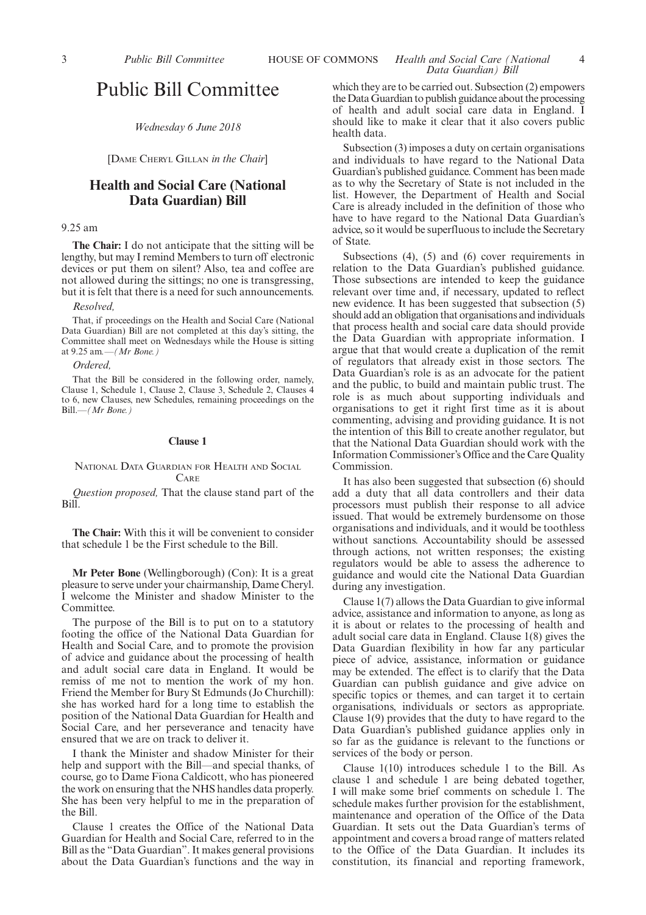### Public Bill Committee

#### *Wednesday 6 June 2018*

[DAME CHERYL GILLAN *in the Chair*]

#### **Health and Social Care (National Data Guardian) Bill**

#### 9.25 am

**The Chair:** I do not anticipate that the sitting will be lengthy, but may I remind Members to turn off electronic devices or put them on silent? Also, tea and coffee are not allowed during the sittings; no one is transgressing, but it is felt that there is a need for such announcements.

#### *Resolved,*

That, if proceedings on the Health and Social Care (National Data Guardian) Bill are not completed at this day's sitting, the Committee shall meet on Wednesdays while the House is sitting at 9.25 am*.—(Mr Bone.)*

*Ordered,*

That the Bill be considered in the following order, namely, Clause 1, Schedule 1, Clause 2, Clause 3, Schedule 2, Clauses 4 to 6, new Clauses, new Schedules, remaining proceedings on the Bill.—*(Mr Bone.)*

#### **Clause 1**

#### NATIONAL DATA GUARDIAN FOR HEALTH AND SOCIAL CARE

*Question proposed,* That the clause stand part of the Bill.

**The Chair:** With this it will be convenient to consider that schedule 1 be the First schedule to the Bill.

**Mr Peter Bone** (Wellingborough) (Con): It is a great pleasure to serve under your chairmanship, Dame Cheryl. I welcome the Minister and shadow Minister to the Committee.

The purpose of the Bill is to put on to a statutory footing the office of the National Data Guardian for Health and Social Care, and to promote the provision of advice and guidance about the processing of health and adult social care data in England. It would be remiss of me not to mention the work of my hon. Friend the Member for Bury St Edmunds (Jo Churchill): she has worked hard for a long time to establish the position of the National Data Guardian for Health and Social Care, and her perseverance and tenacity have ensured that we are on track to deliver it.

I thank the Minister and shadow Minister for their help and support with the Bill—and special thanks, of course, go to Dame Fiona Caldicott, who has pioneered the work on ensuring that the NHS handles data properly. She has been very helpful to me in the preparation of the Bill.

Clause 1 creates the Office of the National Data Guardian for Health and Social Care, referred to in the Bill as the "Data Guardian". It makes general provisions about the Data Guardian's functions and the way in which they are to be carried out. Subsection (2) empowers the Data Guardian to publish guidance about the processing of health and adult social care data in England. I should like to make it clear that it also covers public health data.

Subsection (3) imposes a duty on certain organisations and individuals to have regard to the National Data Guardian's published guidance. Comment has been made as to why the Secretary of State is not included in the list. However, the Department of Health and Social Care is already included in the definition of those who have to have regard to the National Data Guardian's advice, so it would be superfluous to include the Secretary of State.

Subsections (4), (5) and (6) cover requirements in relation to the Data Guardian's published guidance. Those subsections are intended to keep the guidance relevant over time and, if necessary, updated to reflect new evidence. It has been suggested that subsection (5) should add an obligation that organisations and individuals that process health and social care data should provide the Data Guardian with appropriate information. I argue that that would create a duplication of the remit of regulators that already exist in those sectors. The Data Guardian's role is as an advocate for the patient and the public, to build and maintain public trust. The role is as much about supporting individuals and organisations to get it right first time as it is about commenting, advising and providing guidance. It is not the intention of this Bill to create another regulator, but that the National Data Guardian should work with the Information Commissioner's Office and the Care Quality Commission.

It has also been suggested that subsection (6) should add a duty that all data controllers and their data processors must publish their response to all advice issued. That would be extremely burdensome on those organisations and individuals, and it would be toothless without sanctions. Accountability should be assessed through actions, not written responses; the existing regulators would be able to assess the adherence to guidance and would cite the National Data Guardian during any investigation.

Clause 1(7) allows the Data Guardian to give informal advice, assistance and information to anyone, as long as it is about or relates to the processing of health and adult social care data in England. Clause 1(8) gives the Data Guardian flexibility in how far any particular piece of advice, assistance, information or guidance may be extended. The effect is to clarify that the Data Guardian can publish guidance and give advice on specific topics or themes, and can target it to certain organisations, individuals or sectors as appropriate. Clause 1(9) provides that the duty to have regard to the Data Guardian's published guidance applies only in so far as the guidance is relevant to the functions or services of the body or person.

Clause 1(10) introduces schedule 1 to the Bill. As clause 1 and schedule 1 are being debated together, I will make some brief comments on schedule 1. The schedule makes further provision for the establishment, maintenance and operation of the Office of the Data Guardian. It sets out the Data Guardian's terms of appointment and covers a broad range of matters related to the Office of the Data Guardian. It includes its constitution, its financial and reporting framework,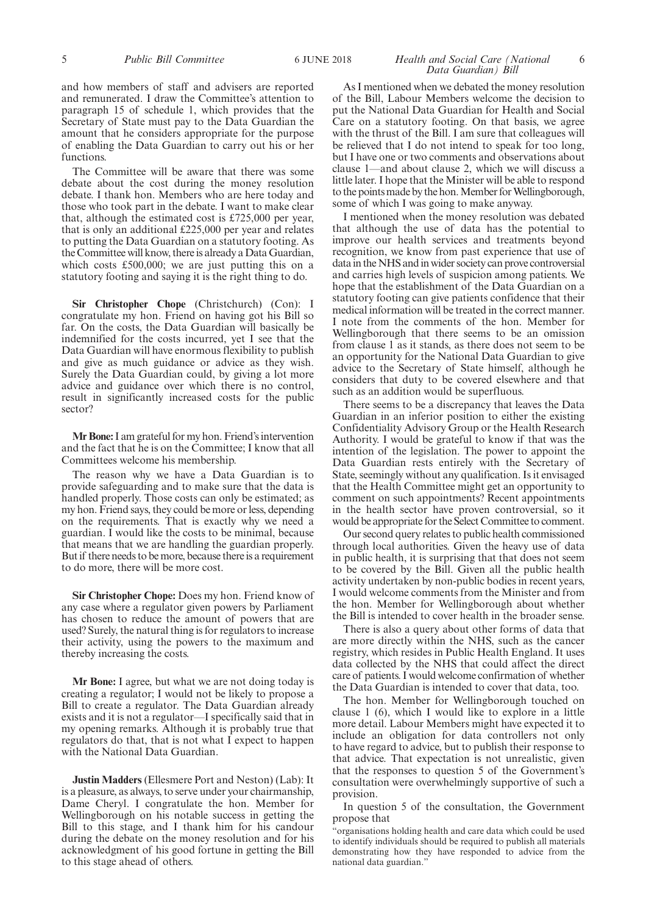and how members of staff and advisers are reported and remunerated. I draw the Committee's attention to paragraph 15 of schedule 1, which provides that the Secretary of State must pay to the Data Guardian the amount that he considers appropriate for the purpose of enabling the Data Guardian to carry out his or her functions.

The Committee will be aware that there was some debate about the cost during the money resolution debate. I thank hon. Members who are here today and those who took part in the debate. I want to make clear that, although the estimated cost is £725,000 per year, that is only an additional £225,000 per year and relates to putting the Data Guardian on a statutory footing. As the Committee will know, there is already a Data Guardian, which costs £500,000; we are just putting this on a statutory footing and saying it is the right thing to do.

**Sir Christopher Chope** (Christchurch) (Con): I congratulate my hon. Friend on having got his Bill so far. On the costs, the Data Guardian will basically be indemnified for the costs incurred, yet I see that the Data Guardian will have enormous flexibility to publish and give as much guidance or advice as they wish. Surely the Data Guardian could, by giving a lot more advice and guidance over which there is no control, result in significantly increased costs for the public sector?

**Mr Bone:**I am grateful for my hon. Friend's intervention and the fact that he is on the Committee; I know that all Committees welcome his membership.

The reason why we have a Data Guardian is to provide safeguarding and to make sure that the data is handled properly. Those costs can only be estimated; as my hon. Friend says, they could be more or less, depending on the requirements. That is exactly why we need a guardian. I would like the costs to be minimal, because that means that we are handling the guardian properly. But if there needs to be more, because there is a requirement to do more, there will be more cost.

**Sir Christopher Chope:** Does my hon. Friend know of any case where a regulator given powers by Parliament has chosen to reduce the amount of powers that are used? Surely, the natural thing is for regulators to increase their activity, using the powers to the maximum and thereby increasing the costs.

**Mr Bone:** I agree, but what we are not doing today is creating a regulator; I would not be likely to propose a Bill to create a regulator. The Data Guardian already exists and it is not a regulator—I specifically said that in my opening remarks. Although it is probably true that regulators do that, that is not what I expect to happen with the National Data Guardian.

**Justin Madders** (Ellesmere Port and Neston) (Lab): It is a pleasure, as always, to serve under your chairmanship, Dame Cheryl. I congratulate the hon. Member for Wellingborough on his notable success in getting the Bill to this stage, and I thank him for his candour during the debate on the money resolution and for his acknowledgment of his good fortune in getting the Bill to this stage ahead of others.

#### 5 *Public Bill Committee Health and Social Care (National* 6 JUNE 2018 6 *Data Guardian) Bill*

As I mentioned when we debated the money resolution of the Bill, Labour Members welcome the decision to put the National Data Guardian for Health and Social Care on a statutory footing. On that basis, we agree with the thrust of the Bill. I am sure that colleagues will be relieved that I do not intend to speak for too long, but I have one or two comments and observations about clause 1—and about clause 2, which we will discuss a little later. I hope that the Minister will be able to respond to the points made by the hon. Member for Wellingborough, some of which I was going to make anyway.

I mentioned when the money resolution was debated that although the use of data has the potential to improve our health services and treatments beyond recognition, we know from past experience that use of data in the NHS and in wider society can prove controversial and carries high levels of suspicion among patients. We hope that the establishment of the Data Guardian on a statutory footing can give patients confidence that their medical information will be treated in the correct manner. I note from the comments of the hon. Member for Wellingborough that there seems to be an omission from clause 1 as it stands, as there does not seem to be an opportunity for the National Data Guardian to give advice to the Secretary of State himself, although he considers that duty to be covered elsewhere and that such as an addition would be superfluous.

There seems to be a discrepancy that leaves the Data Guardian in an inferior position to either the existing Confidentiality Advisory Group or the Health Research Authority. I would be grateful to know if that was the intention of the legislation. The power to appoint the Data Guardian rests entirely with the Secretary of State, seemingly without any qualification. Is it envisaged that the Health Committee might get an opportunity to comment on such appointments? Recent appointments in the health sector have proven controversial, so it would be appropriate for the Select Committee to comment.

Our second query relates to public health commissioned through local authorities. Given the heavy use of data in public health, it is surprising that that does not seem to be covered by the Bill. Given all the public health activity undertaken by non-public bodies in recent years, I would welcome comments from the Minister and from the hon. Member for Wellingborough about whether the Bill is intended to cover health in the broader sense.

There is also a query about other forms of data that are more directly within the NHS, such as the cancer registry, which resides in Public Health England. It uses data collected by the NHS that could affect the direct care of patients. I would welcome confirmation of whether the Data Guardian is intended to cover that data, too.

The hon. Member for Wellingborough touched on clause 1 (6), which I would like to explore in a little more detail. Labour Members might have expected it to include an obligation for data controllers not only to have regard to advice, but to publish their response to that advice. That expectation is not unrealistic, given that the responses to question 5 of the Government's consultation were overwhelmingly supportive of such a provision.

In question 5 of the consultation, the Government propose that

"organisations holding health and care data which could be used to identify individuals should be required to publish all materials demonstrating how they have responded to advice from the national data guardian."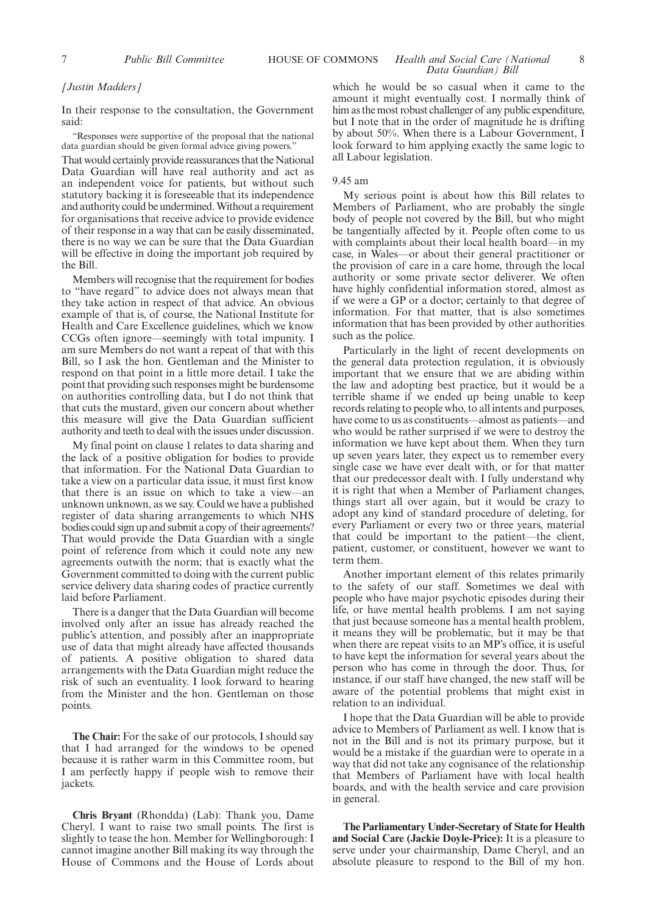#### 7 *Public Bill Committee Health and Social Care (National* HOUSE OF COMMONS 8 *Data Guardian) Bill*

#### *[Justin Madders]*

In their response to the consultation, the Government said:

"Responses were supportive of the proposal that the national data guardian should be given formal advice giving powers."

That would certainly provide reassurances that the National Data Guardian will have real authority and act as an independent voice for patients, but without such statutory backing it is foreseeable that its independence and authority could be undermined. Without a requirement for organisations that receive advice to provide evidence of their response in a way that can be easily disseminated, there is no way we can be sure that the Data Guardian will be effective in doing the important job required by the Bill.

Members will recognise that the requirement for bodies to "have regard" to advice does not always mean that they take action in respect of that advice. An obvious example of that is, of course, the National Institute for Health and Care Excellence guidelines, which we know CCGs often ignore—seemingly with total impunity. I am sure Members do not want a repeat of that with this Bill, so I ask the hon. Gentleman and the Minister to respond on that point in a little more detail. I take the point that providing such responses might be burdensome on authorities controlling data, but I do not think that that cuts the mustard, given our concern about whether this measure will give the Data Guardian sufficient authority and teeth to deal with the issues under discussion.

My final point on clause 1 relates to data sharing and the lack of a positive obligation for bodies to provide that information. For the National Data Guardian to take a view on a particular data issue, it must first know that there is an issue on which to take a view—an unknown unknown, as we say. Could we have a published register of data sharing arrangements to which NHS bodies could sign up and submit a copy of their agreements? That would provide the Data Guardian with a single point of reference from which it could note any new agreements outwith the norm; that is exactly what the Government committed to doing with the current public service delivery data sharing codes of practice currently laid before Parliament.

There is a danger that the Data Guardian will become involved only after an issue has already reached the public's attention, and possibly after an inappropriate use of data that might already have affected thousands of patients. A positive obligation to shared data arrangements with the Data Guardian might reduce the risk of such an eventuality. I look forward to hearing from the Minister and the hon. Gentleman on those points.

**The Chair:** For the sake of our protocols, I should say that I had arranged for the windows to be opened because it is rather warm in this Committee room, but I am perfectly happy if people wish to remove their jackets.

**Chris Bryant** (Rhondda) (Lab): Thank you, Dame Cheryl. I want to raise two small points. The first is slightly to tease the hon. Member for Wellingborough: I cannot imagine another Bill making its way through the House of Commons and the House of Lords about which he would be so casual when it came to the amount it might eventually cost. I normally think of him as the most robust challenger of any public expenditure, but I note that in the order of magnitude he is drifting by about 50%. When there is a Labour Government, I look forward to him applying exactly the same logic to all Labour legislation.

#### 9.45 am

My serious point is about how this Bill relates to Members of Parliament, who are probably the single body of people not covered by the Bill, but who might be tangentially affected by it. People often come to us with complaints about their local health board—in my case, in Wales—or about their general practitioner or the provision of care in a care home, through the local authority or some private sector deliverer. We often have highly confidential information stored, almost as if we were a GP or a doctor; certainly to that degree of information. For that matter, that is also sometimes information that has been provided by other authorities such as the police.

Particularly in the light of recent developments on the general data protection regulation, it is obviously important that we ensure that we are abiding within the law and adopting best practice, but it would be a terrible shame if we ended up being unable to keep records relating to people who, to all intents and purposes, have come to us as constituents—almost as patients—and who would be rather surprised if we were to destroy the information we have kept about them. When they turn up seven years later, they expect us to remember every single case we have ever dealt with, or for that matter that our predecessor dealt with. I fully understand why it is right that when a Member of Parliament changes, things start all over again, but it would be crazy to adopt any kind of standard procedure of deleting, for every Parliament or every two or three years, material that could be important to the patient—the client, patient, customer, or constituent, however we want to term them.

Another important element of this relates primarily to the safety of our staff. Sometimes we deal with people who have major psychotic episodes during their life, or have mental health problems. I am not saying that just because someone has a mental health problem, it means they will be problematic, but it may be that when there are repeat visits to an MP's office, it is useful to have kept the information for several years about the person who has come in through the door. Thus, for instance, if our staff have changed, the new staff will be aware of the potential problems that might exist in relation to an individual.

I hope that the Data Guardian will be able to provide advice to Members of Parliament as well. I know that is not in the Bill and is not its primary purpose, but it would be a mistake if the guardian were to operate in a way that did not take any cognisance of the relationship that Members of Parliament have with local health boards, and with the health service and care provision in general.

**The Parliamentary Under-Secretary of State for Health and Social Care (Jackie Doyle-Price):** It is a pleasure to serve under your chairmanship, Dame Cheryl, and an absolute pleasure to respond to the Bill of my hon.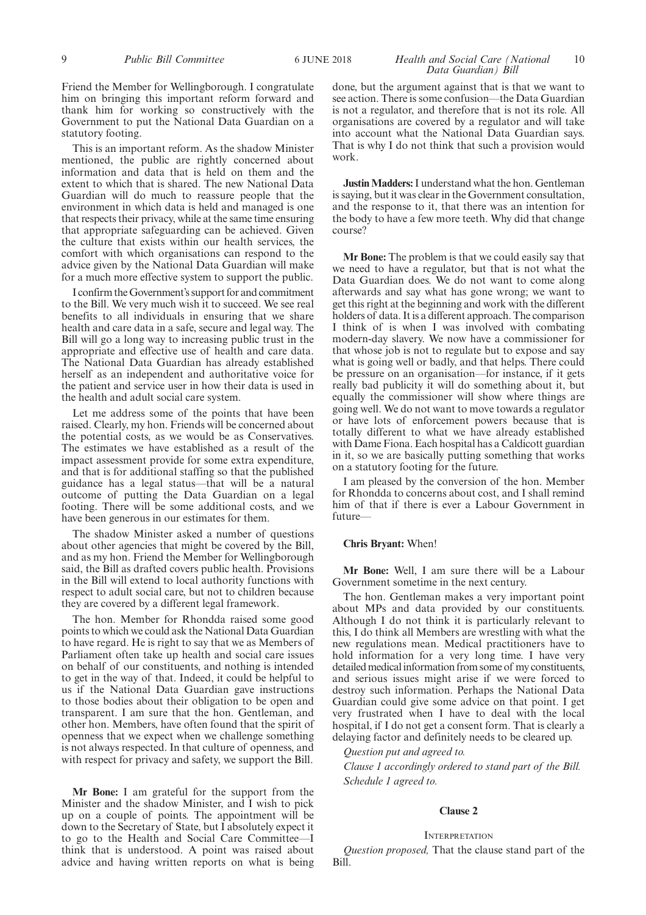Friend the Member for Wellingborough. I congratulate him on bringing this important reform forward and thank him for working so constructively with the Government to put the National Data Guardian on a statutory footing.

This is an important reform. As the shadow Minister mentioned, the public are rightly concerned about information and data that is held on them and the extent to which that is shared. The new National Data Guardian will do much to reassure people that the environment in which data is held and managed is one that respects their privacy, while at the same time ensuring that appropriate safeguarding can be achieved. Given the culture that exists within our health services, the comfort with which organisations can respond to the advice given by the National Data Guardian will make for a much more effective system to support the public.

I confirm the Government's support for and commitment to the Bill. We very much wish it to succeed. We see real benefits to all individuals in ensuring that we share health and care data in a safe, secure and legal way. The Bill will go a long way to increasing public trust in the appropriate and effective use of health and care data. The National Data Guardian has already established herself as an independent and authoritative voice for the patient and service user in how their data is used in the health and adult social care system.

Let me address some of the points that have been raised. Clearly, my hon. Friends will be concerned about the potential costs, as we would be as Conservatives. The estimates we have established as a result of the impact assessment provide for some extra expenditure, and that is for additional staffing so that the published guidance has a legal status—that will be a natural outcome of putting the Data Guardian on a legal footing. There will be some additional costs, and we have been generous in our estimates for them.

The shadow Minister asked a number of questions about other agencies that might be covered by the Bill, and as my hon. Friend the Member for Wellingborough said, the Bill as drafted covers public health. Provisions in the Bill will extend to local authority functions with respect to adult social care, but not to children because they are covered by a different legal framework.

The hon. Member for Rhondda raised some good points to which we could ask the National Data Guardian to have regard. He is right to say that we as Members of Parliament often take up health and social care issues on behalf of our constituents, and nothing is intended to get in the way of that. Indeed, it could be helpful to us if the National Data Guardian gave instructions to those bodies about their obligation to be open and transparent. I am sure that the hon. Gentleman, and other hon. Members, have often found that the spirit of openness that we expect when we challenge something is not always respected. In that culture of openness, and with respect for privacy and safety, we support the Bill.

**Mr Bone:** I am grateful for the support from the Minister and the shadow Minister, and I wish to pick up on a couple of points. The appointment will be down to the Secretary of State, but I absolutely expect it to go to the Health and Social Care Committee—I think that is understood. A point was raised about advice and having written reports on what is being

#### 9 *Public Bill Committee Health and Social Care (National* 6 JUNE 2018 10 *Data Guardian) Bill*

done, but the argument against that is that we want to see action. There is some confusion—the Data Guardian is not a regulator, and therefore that is not its role. All organisations are covered by a regulator and will take into account what the National Data Guardian says. That is why I do not think that such a provision would work.

**Justin Madders:**I understand what the hon. Gentleman is saying, but it was clear in the Government consultation, and the response to it, that there was an intention for the body to have a few more teeth. Why did that change course?

**Mr Bone:** The problem is that we could easily say that we need to have a regulator, but that is not what the Data Guardian does. We do not want to come along afterwards and say what has gone wrong; we want to get this right at the beginning and work with the different holders of data. It is a different approach. The comparison I think of is when I was involved with combating modern-day slavery. We now have a commissioner for that whose job is not to regulate but to expose and say what is going well or badly, and that helps. There could be pressure on an organisation—for instance, if it gets really bad publicity it will do something about it, but equally the commissioner will show where things are going well. We do not want to move towards a regulator or have lots of enforcement powers because that is totally different to what we have already established with Dame Fiona. Each hospital has a Caldicott guardian in it, so we are basically putting something that works on a statutory footing for the future.

I am pleased by the conversion of the hon. Member for Rhondda to concerns about cost, and I shall remind him of that if there is ever a Labour Government in future—

#### **Chris Bryant:** When!

**Mr Bone:** Well, I am sure there will be a Labour Government sometime in the next century.

The hon. Gentleman makes a very important point about MPs and data provided by our constituents. Although I do not think it is particularly relevant to this, I do think all Members are wrestling with what the new regulations mean. Medical practitioners have to hold information for a very long time. I have very detailed medical information from some of my constituents, and serious issues might arise if we were forced to destroy such information. Perhaps the National Data Guardian could give some advice on that point. I get very frustrated when I have to deal with the local hospital, if I do not get a consent form. That is clearly a delaying factor and definitely needs to be cleared up.

*Question put and agreed to.*

*Clause 1 accordingly ordered to stand part of the Bill. Schedule 1 agreed to.*

#### **Clause 2**

#### **INTERPRETATION**

*Question proposed,* That the clause stand part of the Bill.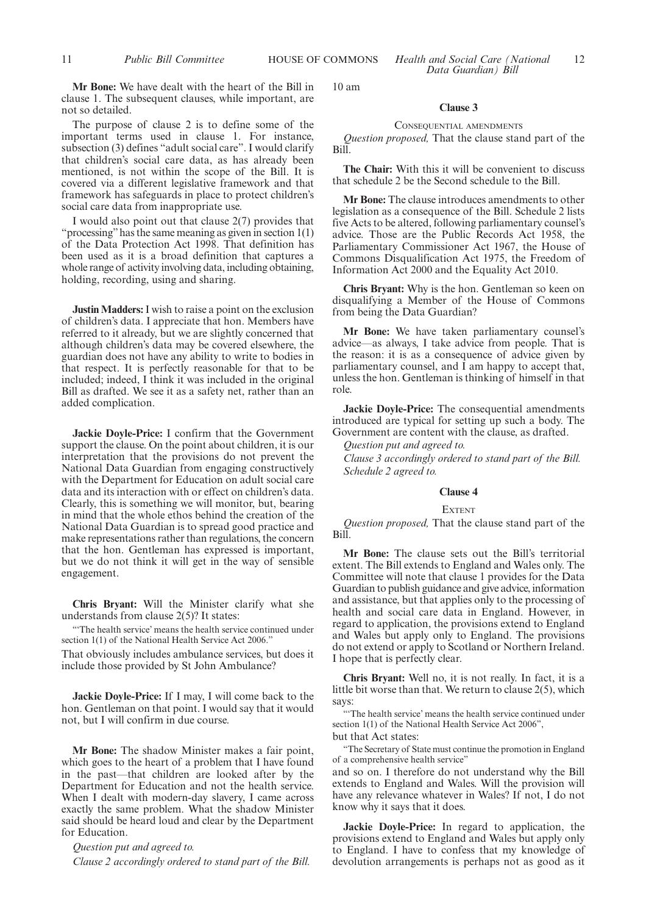**Mr Bone:** We have dealt with the heart of the Bill in clause 1. The subsequent clauses, while important, are not so detailed.

The purpose of clause 2 is to define some of the important terms used in clause 1. For instance, subsection (3) defines "adult social care". I would clarify that children's social care data, as has already been mentioned, is not within the scope of the Bill. It is covered via a different legislative framework and that framework has safeguards in place to protect children's social care data from inappropriate use.

I would also point out that clause 2(7) provides that "processing" has the same meaning as given in section  $1(1)$ of the Data Protection Act 1998. That definition has been used as it is a broad definition that captures a whole range of activity involving data, including obtaining, holding, recording, using and sharing.

**Justin Madders:**I wish to raise a point on the exclusion of children's data. I appreciate that hon. Members have referred to it already, but we are slightly concerned that although children's data may be covered elsewhere, the guardian does not have any ability to write to bodies in that respect. It is perfectly reasonable for that to be included; indeed, I think it was included in the original Bill as drafted. We see it as a safety net, rather than an added complication.

**Jackie Doyle-Price:** I confirm that the Government support the clause. On the point about children, it is our interpretation that the provisions do not prevent the National Data Guardian from engaging constructively with the Department for Education on adult social care data and its interaction with or effect on children's data. Clearly, this is something we will monitor, but, bearing in mind that the whole ethos behind the creation of the National Data Guardian is to spread good practice and make representations rather than regulations, the concern that the hon. Gentleman has expressed is important, but we do not think it will get in the way of sensible engagement.

**Chris Bryant:** Will the Minister clarify what she understands from clause 2(5)? It states:

"'The health service' means the health service continued under section 1(1) of the National Health Service Act 2006."

That obviously includes ambulance services, but does it include those provided by St John Ambulance?

**Jackie Doyle-Price:** If I may, I will come back to the hon. Gentleman on that point. I would say that it would not, but I will confirm in due course.

**Mr Bone:** The shadow Minister makes a fair point, which goes to the heart of a problem that I have found in the past—that children are looked after by the Department for Education and not the health service. When I dealt with modern-day slavery, I came across exactly the same problem. What the shadow Minister said should be heard loud and clear by the Department for Education.

*Question put and agreed to.*

*Clause 2 accordingly ordered to stand part of the Bill.*

11 **Public Bill Committee HOUSE OF COMMONS Health and Social Care (National** 12 *Data Guardian) Bill*

10 am

#### **Clause 3**

#### CONSEQUENTIAL AMENDMENTS

*Question proposed,* That the clause stand part of the Bill.

**The Chair:** With this it will be convenient to discuss that schedule 2 be the Second schedule to the Bill.

**Mr Bone:** The clause introduces amendments to other legislation as a consequence of the Bill. Schedule 2 lists five Acts to be altered, following parliamentary counsel's advice. Those are the Public Records Act 1958, the Parliamentary Commissioner Act 1967, the House of Commons Disqualification Act 1975, the Freedom of Information Act 2000 and the Equality Act 2010.

**Chris Bryant:** Why is the hon. Gentleman so keen on disqualifying a Member of the House of Commons from being the Data Guardian?

**Mr Bone:** We have taken parliamentary counsel's advice—as always, I take advice from people. That is the reason: it is as a consequence of advice given by parliamentary counsel, and  $\overline{I}$  am happy to accept that, unless the hon. Gentleman is thinking of himself in that role.

**Jackie Doyle-Price:** The consequential amendments introduced are typical for setting up such a body. The Government are content with the clause, as drafted.

*Question put and agreed to.*

*Clause 3 accordingly ordered to stand part of the Bill. Schedule 2 agreed to.*

#### **Clause 4**

#### **EXTENT**

*Question proposed,* That the clause stand part of the Bill.

**Mr Bone:** The clause sets out the Bill's territorial extent. The Bill extends to England and Wales only. The Committee will note that clause 1 provides for the Data Guardian to publish guidance and give advice, information and assistance, but that applies only to the processing of health and social care data in England. However, in regard to application, the provisions extend to England and Wales but apply only to England. The provisions do not extend or apply to Scotland or Northern Ireland. I hope that is perfectly clear.

**Chris Bryant:** Well no, it is not really. In fact, it is a little bit worse than that. We return to clause 2(5), which says:

"'The health service' means the health service continued under section 1(1) of the National Health Service Act 2006", but that Act states:

"The Secretary of State must continue the promotion in England of a comprehensive health service"

and so on. I therefore do not understand why the Bill extends to England and Wales. Will the provision will have any relevance whatever in Wales? If not, I do not know why it says that it does.

**Jackie Doyle-Price:** In regard to application, the provisions extend to England and Wales but apply only to England. I have to confess that my knowledge of devolution arrangements is perhaps not as good as it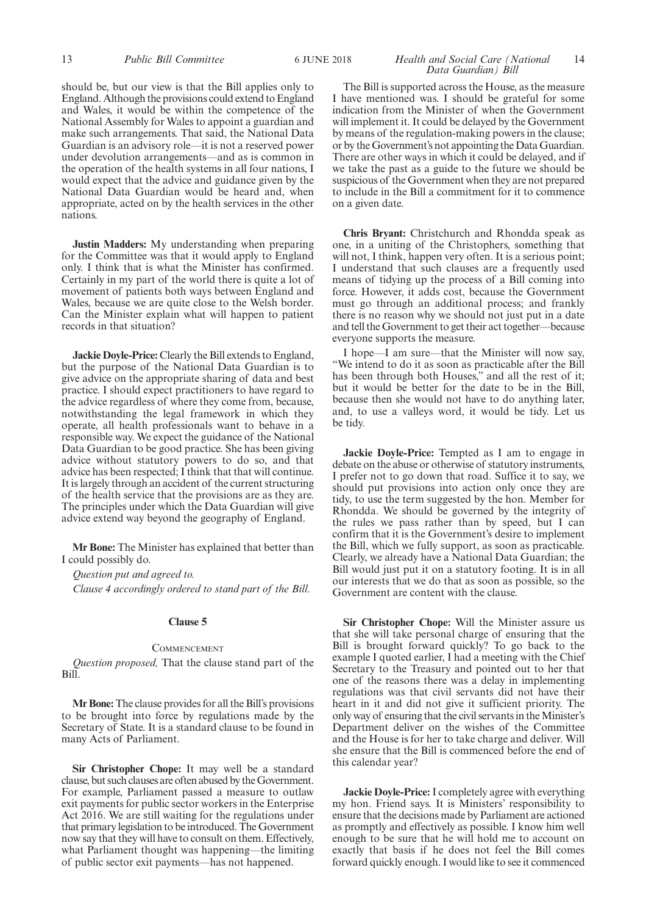#### 13 *Public Bill Committee Health and Social Care (National* 6 JUNE 2018 14 *Data Guardian) Bill*

should be, but our view is that the Bill applies only to England. Although the provisions could extend to England and Wales, it would be within the competence of the National Assembly for Wales to appoint a guardian and make such arrangements. That said, the National Data Guardian is an advisory role—it is not a reserved power under devolution arrangements—and as is common in the operation of the health systems in all four nations, I would expect that the advice and guidance given by the National Data Guardian would be heard and, when appropriate, acted on by the health services in the other nations.

**Justin Madders:** My understanding when preparing for the Committee was that it would apply to England only. I think that is what the Minister has confirmed. Certainly in my part of the world there is quite a lot of movement of patients both ways between England and Wales, because we are quite close to the Welsh border. Can the Minister explain what will happen to patient records in that situation?

**Jackie Doyle-Price:** Clearly the Bill extends to England, but the purpose of the National Data Guardian is to give advice on the appropriate sharing of data and best practice. I should expect practitioners to have regard to the advice regardless of where they come from, because, notwithstanding the legal framework in which they operate, all health professionals want to behave in a responsible way. We expect the guidance of the National Data Guardian to be good practice. She has been giving advice without statutory powers to do so, and that advice has been respected; I think that that will continue. It is largely through an accident of the current structuring of the health service that the provisions are as they are. The principles under which the Data Guardian will give advice extend way beyond the geography of England.

**Mr Bone:** The Minister has explained that better than I could possibly do.

*Question put and agreed to. Clause 4 accordingly ordered to stand part of the Bill.*

#### **Clause 5**

#### **COMMENCEMENT**

*Question proposed,* That the clause stand part of the Bill.

**Mr Bone:**The clause provides for all the Bill's provisions to be brought into force by regulations made by the Secretary of State. It is a standard clause to be found in many Acts of Parliament.

**Sir Christopher Chope:** It may well be a standard clause, but such clauses are often abused by the Government. For example, Parliament passed a measure to outlaw exit payments for public sector workers in the Enterprise Act 2016. We are still waiting for the regulations under that primary legislation to be introduced. The Government now say that they will have to consult on them. Effectively, what Parliament thought was happening—the limiting of public sector exit payments—has not happened.

The Bill is supported across the House, as the measure I have mentioned was. I should be grateful for some indication from the Minister of when the Government will implement it. It could be delayed by the Government by means of the regulation-making powers in the clause; or by the Government's not appointing the Data Guardian. There are other ways in which it could be delayed, and if we take the past as a guide to the future we should be suspicious of the Government when they are not prepared to include in the Bill a commitment for it to commence on a given date.

**Chris Bryant:** Christchurch and Rhondda speak as one, in a uniting of the Christophers, something that will not, I think, happen very often. It is a serious point; I understand that such clauses are a frequently used means of tidying up the process of a Bill coming into force. However, it adds cost, because the Government must go through an additional process; and frankly there is no reason why we should not just put in a date and tell the Government to get their act together—because everyone supports the measure.

I hope—I am sure—that the Minister will now say, "We intend to do it as soon as practicable after the Bill has been through both Houses," and all the rest of it; but it would be better for the date to be in the Bill, because then she would not have to do anything later, and, to use a valleys word, it would be tidy. Let us be tidy.

**Jackie Doyle-Price:** Tempted as I am to engage in debate on the abuse or otherwise of statutory instruments, I prefer not to go down that road. Suffice it to say, we should put provisions into action only once they are tidy, to use the term suggested by the hon. Member for Rhondda. We should be governed by the integrity of the rules we pass rather than by speed, but I can confirm that it is the Government's desire to implement the Bill, which we fully support, as soon as practicable. Clearly, we already have a National Data Guardian; the Bill would just put it on a statutory footing. It is in all our interests that we do that as soon as possible, so the Government are content with the clause.

**Sir Christopher Chope:** Will the Minister assure us that she will take personal charge of ensuring that the Bill is brought forward quickly? To go back to the example I quoted earlier, I had a meeting with the Chief Secretary to the Treasury and pointed out to her that one of the reasons there was a delay in implementing regulations was that civil servants did not have their heart in it and did not give it sufficient priority. The only way of ensuring that the civil servants in the Minister's Department deliver on the wishes of the Committee and the House is for her to take charge and deliver. Will she ensure that the Bill is commenced before the end of this calendar year?

**Jackie Doyle-Price:**I completely agree with everything my hon. Friend says. It is Ministers' responsibility to ensure that the decisions made by Parliament are actioned as promptly and effectively as possible. I know him well enough to be sure that he will hold me to account on exactly that basis if he does not feel the Bill comes forward quickly enough. I would like to see it commenced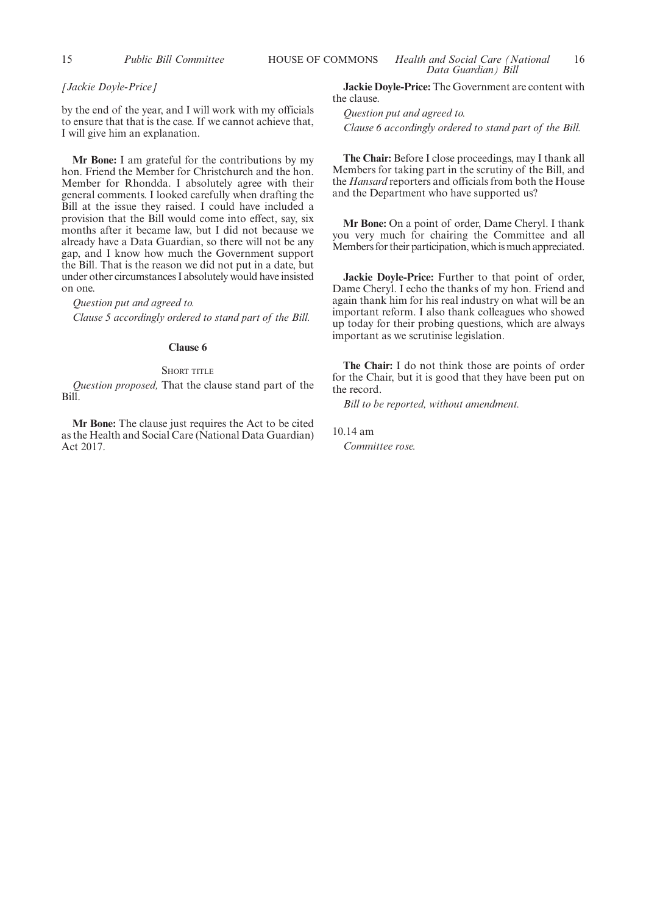#### *[Jackie Doyle-Price]*

by the end of the year, and I will work with my officials to ensure that that is the case. If we cannot achieve that, I will give him an explanation.

**Mr Bone:** I am grateful for the contributions by my hon. Friend the Member for Christchurch and the hon. Member for Rhondda. I absolutely agree with their general comments. I looked carefully when drafting the Bill at the issue they raised. I could have included a provision that the Bill would come into effect, say, six months after it became law, but I did not because we already have a Data Guardian, so there will not be any gap, and I know how much the Government support the Bill. That is the reason we did not put in a date, but under other circumstances I absolutely would have insisted on one.

*Question put and agreed to. Clause 5 accordingly ordered to stand part of the Bill.*

#### **Clause 6**

#### $S_{\text{HOPT}}$  title

*Question proposed,* That the clause stand part of the Bill.

**Mr Bone:** The clause just requires the Act to be cited as the Health and Social Care (National Data Guardian) Act 2017.

**Jackie Doyle-Price:** The Government are content with the clause.

*Question put and agreed to. Clause 6 accordingly ordered to stand part of the Bill.*

**The Chair:** Before I close proceedings, may I thank all Members for taking part in the scrutiny of the Bill, and the *Hansard* reporters and officials from both the House and the Department who have supported us?

**Mr Bone:** On a point of order, Dame Cheryl. I thank you very much for chairing the Committee and all Members for their participation, which is much appreciated.

**Jackie Doyle-Price:** Further to that point of order, Dame Cheryl. I echo the thanks of my hon. Friend and again thank him for his real industry on what will be an important reform. I also thank colleagues who showed up today for their probing questions, which are always important as we scrutinise legislation.

**The Chair:** I do not think those are points of order for the Chair, but it is good that they have been put on the record.

*Bill to be reported, without amendment.*

10.14 am *Committee rose.*